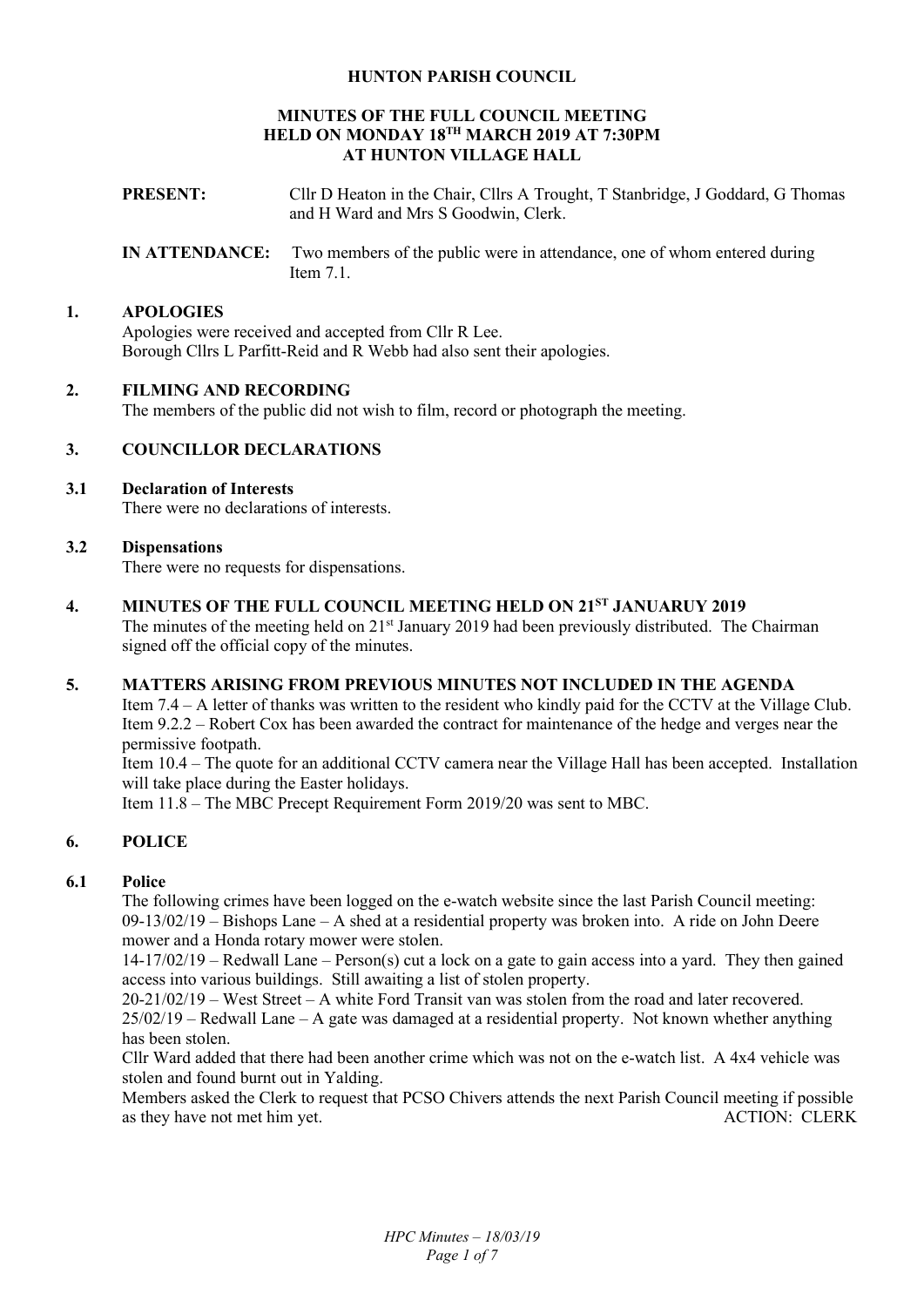## **HUNTON PARISH COUNCIL**

#### **MINUTES OF THE FULL COUNCIL MEETING HELD ON MONDAY 18TH MARCH 2019 AT 7:30PM AT HUNTON VILLAGE HALL**

- **PRESENT:** Cllr D Heaton in the Chair, Cllrs A Trought, T Stanbridge, J Goddard, G Thomas and H Ward and Mrs S Goodwin, Clerk.
- **IN ATTENDANCE:** Two members of the public were in attendance, one of whom entered during Item 7.1.

#### **1. APOLOGIES**

Apologies were received and accepted from Cllr R Lee. Borough Cllrs L Parfitt-Reid and R Webb had also sent their apologies.

## **2. FILMING AND RECORDING**

The members of the public did not wish to film, record or photograph the meeting.

## **3. COUNCILLOR DECLARATIONS**

**3.1 Declaration of Interests** 

There were no declarations of interests.

## **3.2 Dispensations**

There were no requests for dispensations.

**4. MINUTES OF THE FULL COUNCIL MEETING HELD ON 21ST JANUARUY 2019**  The minutes of the meeting held on 21<sup>st</sup> January 2019 had been previously distributed. The Chairman signed off the official copy of the minutes.

#### **5. MATTERS ARISING FROM PREVIOUS MINUTES NOT INCLUDED IN THE AGENDA**

Item 7.4 – A letter of thanks was written to the resident who kindly paid for the CCTV at the Village Club. Item 9.2.2 – Robert Cox has been awarded the contract for maintenance of the hedge and verges near the permissive footpath.

Item 10.4 – The quote for an additional CCTV camera near the Village Hall has been accepted. Installation will take place during the Easter holidays.

Item 11.8 – The MBC Precept Requirement Form 2019/20 was sent to MBC.

# **6. POLICE**

## **6.1 Police**

The following crimes have been logged on the e-watch website since the last Parish Council meeting: 09-13/02/19 – Bishops Lane – A shed at a residential property was broken into. A ride on John Deere mower and a Honda rotary mower were stolen.

14-17/02/19 – Redwall Lane – Person(s) cut a lock on a gate to gain access into a yard. They then gained access into various buildings. Still awaiting a list of stolen property.

20-21/02/19 – West Street – A white Ford Transit van was stolen from the road and later recovered. 25/02/19 – Redwall Lane – A gate was damaged at a residential property. Not known whether anything has been stolen.

Cllr Ward added that there had been another crime which was not on the e-watch list. A 4x4 vehicle was stolen and found burnt out in Yalding.

Members asked the Clerk to request that PCSO Chivers attends the next Parish Council meeting if possible as they have not met him yet.<br>ACTION: CLERK as they have not met him yet.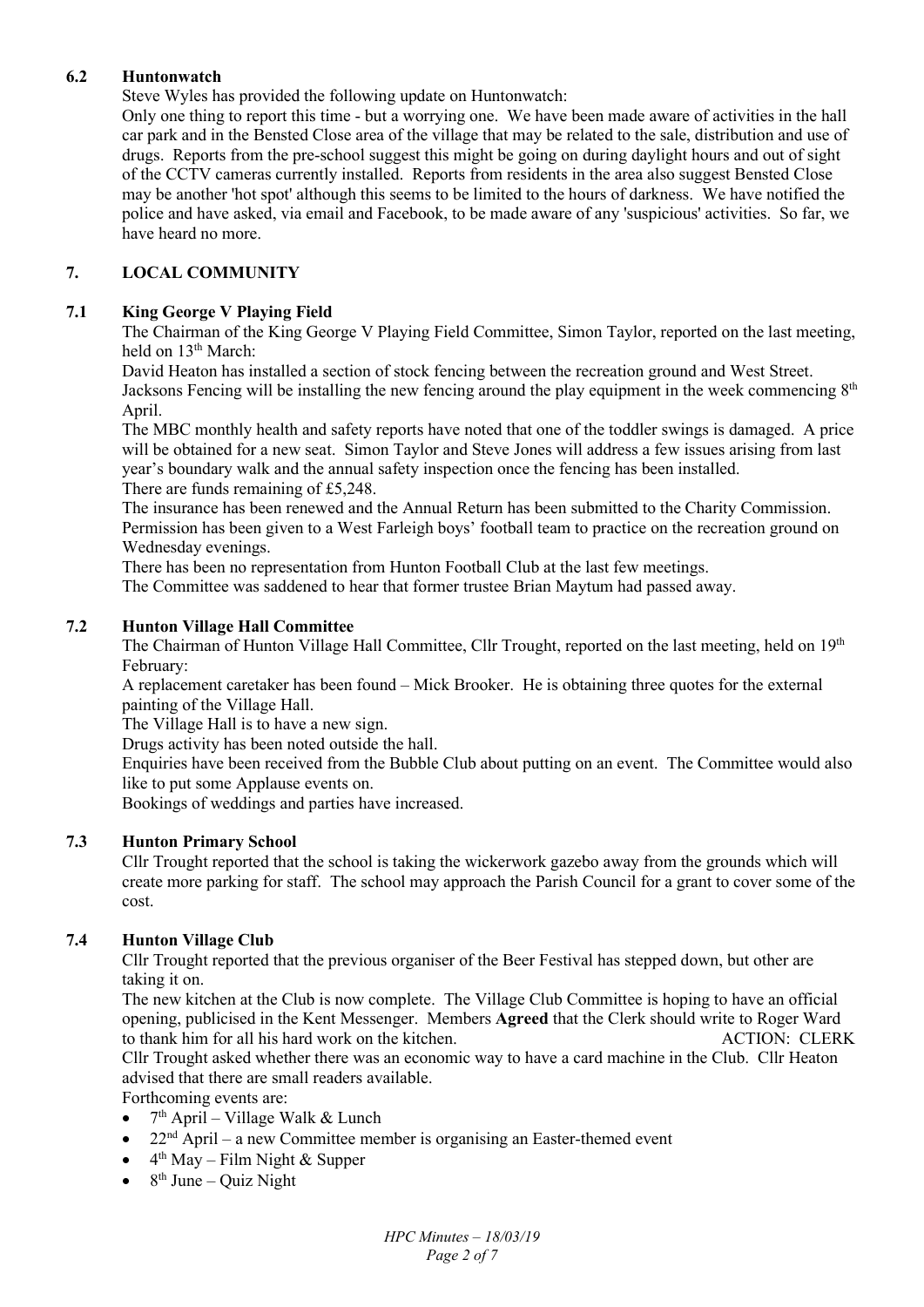# **6.2 Huntonwatch**

Steve Wyles has provided the following update on Huntonwatch:

Only one thing to report this time - but a worrying one. We have been made aware of activities in the hall car park and in the Bensted Close area of the village that may be related to the sale, distribution and use of drugs. Reports from the pre-school suggest this might be going on during daylight hours and out of sight of the CCTV cameras currently installed. Reports from residents in the area also suggest Bensted Close may be another 'hot spot' although this seems to be limited to the hours of darkness. We have notified the police and have asked, via email and Facebook, to be made aware of any 'suspicious' activities. So far, we have heard no more.

# **7. LOCAL COMMUNITY**

## **7.1 King George V Playing Field**

The Chairman of the King George V Playing Field Committee, Simon Taylor, reported on the last meeting, held on 13<sup>th</sup> March:

David Heaton has installed a section of stock fencing between the recreation ground and West Street. Jacksons Fencing will be installing the new fencing around the play equipment in the week commencing  $8<sup>th</sup>$ April.

The MBC monthly health and safety reports have noted that one of the toddler swings is damaged. A price will be obtained for a new seat. Simon Taylor and Steve Jones will address a few issues arising from last year's boundary walk and the annual safety inspection once the fencing has been installed. There are funds remaining of £5,248.

The insurance has been renewed and the Annual Return has been submitted to the Charity Commission. Permission has been given to a West Farleigh boys' football team to practice on the recreation ground on Wednesday evenings.

There has been no representation from Hunton Football Club at the last few meetings.

The Committee was saddened to hear that former trustee Brian Maytum had passed away.

## **7.2 Hunton Village Hall Committee**

The Chairman of Hunton Village Hall Committee, Cllr Trought, reported on the last meeting, held on 19<sup>th</sup> February:

A replacement caretaker has been found – Mick Brooker. He is obtaining three quotes for the external painting of the Village Hall.

The Village Hall is to have a new sign.

Drugs activity has been noted outside the hall.

Enquiries have been received from the Bubble Club about putting on an event. The Committee would also like to put some Applause events on.

Bookings of weddings and parties have increased.

## **7.3 Hunton Primary School**

Cllr Trought reported that the school is taking the wickerwork gazebo away from the grounds which will create more parking for staff. The school may approach the Parish Council for a grant to cover some of the cost.

## **7.4 Hunton Village Club**

Cllr Trought reported that the previous organiser of the Beer Festival has stepped down, but other are taking it on.

The new kitchen at the Club is now complete. The Village Club Committee is hoping to have an official opening, publicised in the Kent Messenger. Members **Agreed** that the Clerk should write to Roger Ward to thank him for all his hard work on the kitchen. ACTION: CLERK

Cllr Trought asked whether there was an economic way to have a card machine in the Club. Cllr Heaton advised that there are small readers available.

Forthcoming events are:

- $\bullet$  7<sup>th</sup> April Village Walk & Lunch
- $22<sup>nd</sup>$  April a new Committee member is organising an Easter-themed event
- $\bullet$  4<sup>th</sup> May Film Night & Supper
- $\bullet$  8<sup>th</sup> June Quiz Night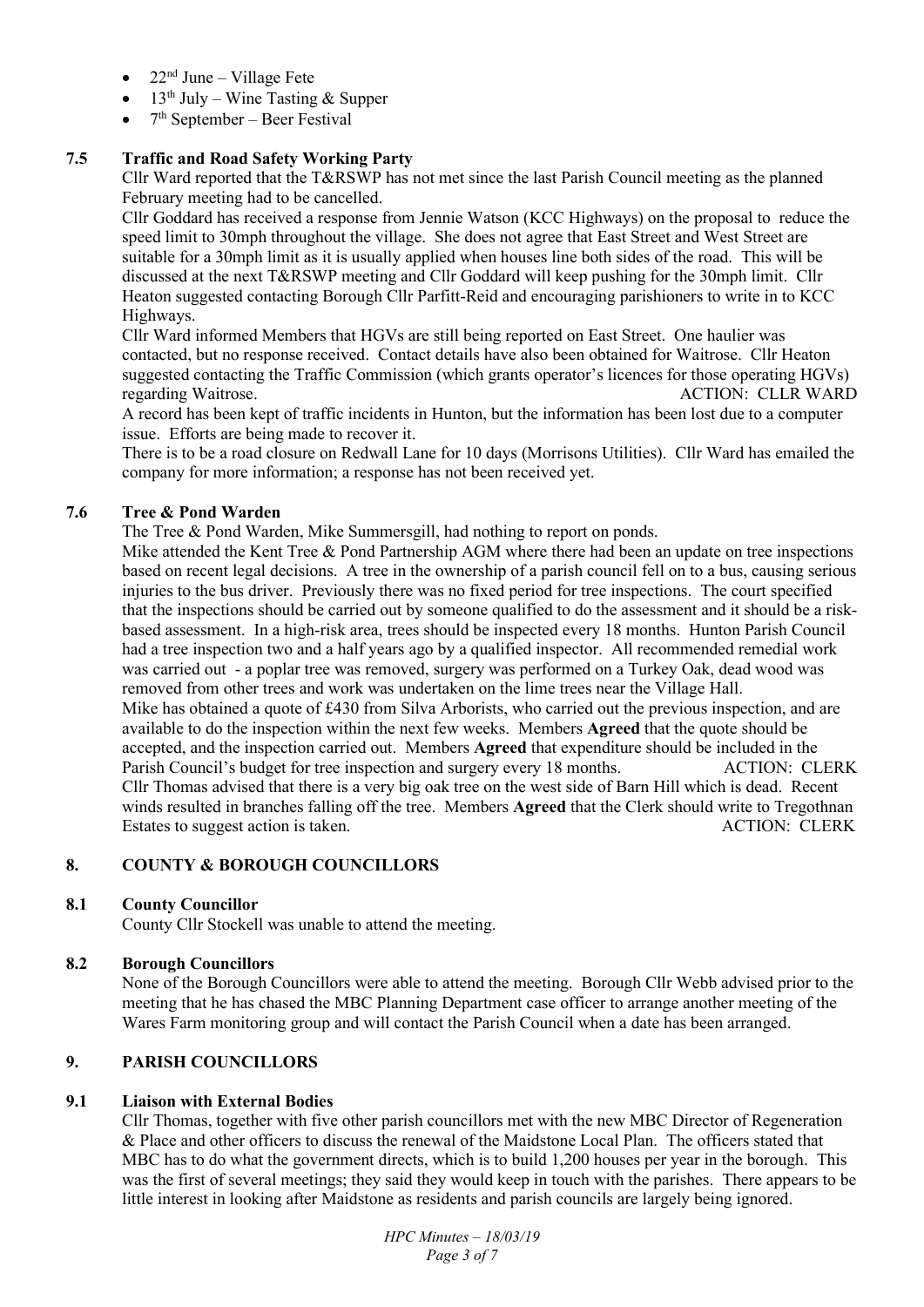- $22<sup>nd</sup> June Village Fete$
- $\bullet$  13<sup>th</sup> July Wine Tasting & Supper
- $\bullet$  7<sup>th</sup> September Beer Festival

# **7.5 Traffic and Road Safety Working Party**

Cllr Ward reported that the T&RSWP has not met since the last Parish Council meeting as the planned February meeting had to be cancelled.

Cllr Goddard has received a response from Jennie Watson (KCC Highways) on the proposal to reduce the speed limit to 30mph throughout the village. She does not agree that East Street and West Street are suitable for a 30mph limit as it is usually applied when houses line both sides of the road. This will be discussed at the next T&RSWP meeting and Cllr Goddard will keep pushing for the 30mph limit. Cllr Heaton suggested contacting Borough Cllr Parfitt-Reid and encouraging parishioners to write in to KCC Highways.

Cllr Ward informed Members that HGVs are still being reported on East Street. One haulier was contacted, but no response received. Contact details have also been obtained for Waitrose. Cllr Heaton suggested contacting the Traffic Commission (which grants operator's licences for those operating HGVs) regarding Waitrose. ACTION: CLLR WARD

A record has been kept of traffic incidents in Hunton, but the information has been lost due to a computer issue. Efforts are being made to recover it.

There is to be a road closure on Redwall Lane for 10 days (Morrisons Utilities). Cllr Ward has emailed the company for more information; a response has not been received yet.

# **7.6 Tree & Pond Warden**

The Tree & Pond Warden, Mike Summersgill, had nothing to report on ponds.

Mike attended the Kent Tree & Pond Partnership AGM where there had been an update on tree inspections based on recent legal decisions. A tree in the ownership of a parish council fell on to a bus, causing serious injuries to the bus driver. Previously there was no fixed period for tree inspections. The court specified that the inspections should be carried out by someone qualified to do the assessment and it should be a riskbased assessment. In a high-risk area, trees should be inspected every 18 months. Hunton Parish Council had a tree inspection two and a half years ago by a qualified inspector. All recommended remedial work was carried out - a poplar tree was removed, surgery was performed on a Turkey Oak, dead wood was removed from other trees and work was undertaken on the lime trees near the Village Hall. Mike has obtained a quote of £430 from Silva Arborists, who carried out the previous inspection, and are available to do the inspection within the next few weeks. Members **Agreed** that the quote should be accepted, and the inspection carried out. Members **Agreed** that expenditure should be included in the Parish Council's budget for tree inspection and surgery every 18 months. ACTION: CLERK Cllr Thomas advised that there is a very big oak tree on the west side of Barn Hill which is dead. Recent winds resulted in branches falling off the tree. Members **Agreed** that the Clerk should write to Tregothnan Estates to suggest action is taken. The set of the set of the set of the set of the ACTION: CLERK

## **8. COUNTY & BOROUGH COUNCILLORS**

## **8.1 County Councillor**

County Cllr Stockell was unable to attend the meeting.

# **8.2 Borough Councillors**

None of the Borough Councillors were able to attend the meeting. Borough Cllr Webb advised prior to the meeting that he has chased the MBC Planning Department case officer to arrange another meeting of the Wares Farm monitoring group and will contact the Parish Council when a date has been arranged.

# **9. PARISH COUNCILLORS**

## **9.1 Liaison with External Bodies**

Cllr Thomas, together with five other parish councillors met with the new MBC Director of Regeneration & Place and other officers to discuss the renewal of the Maidstone Local Plan. The officers stated that MBC has to do what the government directs, which is to build 1,200 houses per year in the borough. This was the first of several meetings; they said they would keep in touch with the parishes. There appears to be little interest in looking after Maidstone as residents and parish councils are largely being ignored.

> *HPC Minutes – 18/03/19 Page 3 of 7*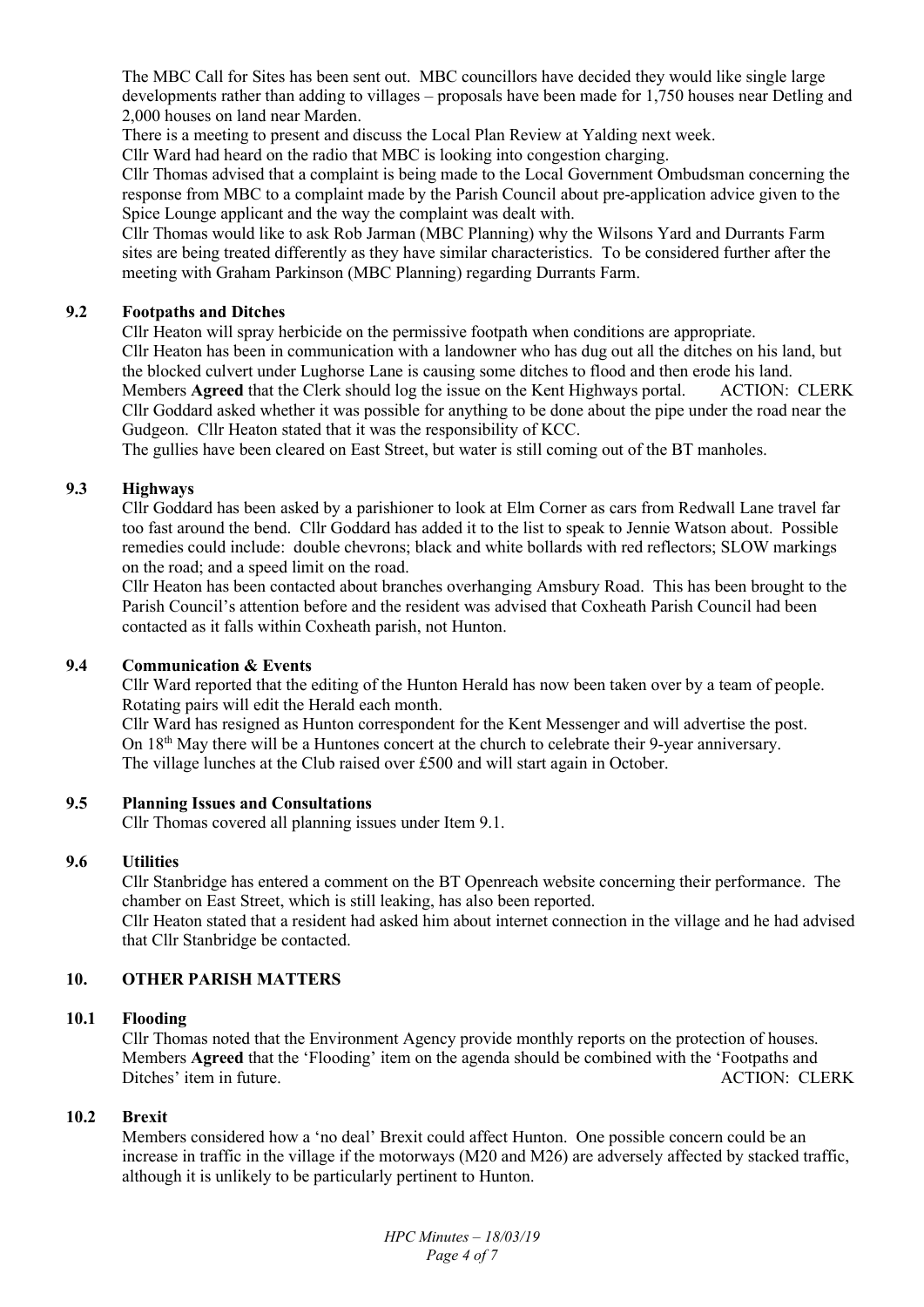The MBC Call for Sites has been sent out. MBC councillors have decided they would like single large developments rather than adding to villages – proposals have been made for 1,750 houses near Detling and 2,000 houses on land near Marden.

There is a meeting to present and discuss the Local Plan Review at Yalding next week.

Cllr Ward had heard on the radio that MBC is looking into congestion charging.

Cllr Thomas advised that a complaint is being made to the Local Government Ombudsman concerning the response from MBC to a complaint made by the Parish Council about pre-application advice given to the Spice Lounge applicant and the way the complaint was dealt with.

Cllr Thomas would like to ask Rob Jarman (MBC Planning) why the Wilsons Yard and Durrants Farm sites are being treated differently as they have similar characteristics. To be considered further after the meeting with Graham Parkinson (MBC Planning) regarding Durrants Farm.

## **9.2 Footpaths and Ditches**

Cllr Heaton will spray herbicide on the permissive footpath when conditions are appropriate. Cllr Heaton has been in communication with a landowner who has dug out all the ditches on his land, but the blocked culvert under Lughorse Lane is causing some ditches to flood and then erode his land. Members **Agreed** that the Clerk should log the issue on the Kent Highways portal. ACTION: CLERK Cllr Goddard asked whether it was possible for anything to be done about the pipe under the road near the Gudgeon. Cllr Heaton stated that it was the responsibility of KCC.

The gullies have been cleared on East Street, but water is still coming out of the BT manholes.

## **9.3 Highways**

Cllr Goddard has been asked by a parishioner to look at Elm Corner as cars from Redwall Lane travel far too fast around the bend. Cllr Goddard has added it to the list to speak to Jennie Watson about. Possible remedies could include: double chevrons; black and white bollards with red reflectors; SLOW markings on the road; and a speed limit on the road.

Cllr Heaton has been contacted about branches overhanging Amsbury Road. This has been brought to the Parish Council's attention before and the resident was advised that Coxheath Parish Council had been contacted as it falls within Coxheath parish, not Hunton.

#### **9.4 Communication & Events**

Cllr Ward reported that the editing of the Hunton Herald has now been taken over by a team of people. Rotating pairs will edit the Herald each month.

Cllr Ward has resigned as Hunton correspondent for the Kent Messenger and will advertise the post. On 18<sup>th</sup> May there will be a Huntones concert at the church to celebrate their 9-year anniversary. The village lunches at the Club raised over £500 and will start again in October.

#### **9.5 Planning Issues and Consultations**

Cllr Thomas covered all planning issues under Item 9.1.

#### **9.6 Utilities**

Cllr Stanbridge has entered a comment on the BT Openreach website concerning their performance. The chamber on East Street, which is still leaking, has also been reported. Cllr Heaton stated that a resident had asked him about internet connection in the village and he had advised

that Cllr Stanbridge be contacted.

# **10. OTHER PARISH MATTERS**

#### **10.1 Flooding**

Cllr Thomas noted that the Environment Agency provide monthly reports on the protection of houses. Members **Agreed** that the 'Flooding' item on the agenda should be combined with the 'Footpaths and Ditches' item in future. ACTION: CLERK

## **10.2 Brexit**

Members considered how a 'no deal' Brexit could affect Hunton. One possible concern could be an increase in traffic in the village if the motorways (M20 and M26) are adversely affected by stacked traffic, although it is unlikely to be particularly pertinent to Hunton.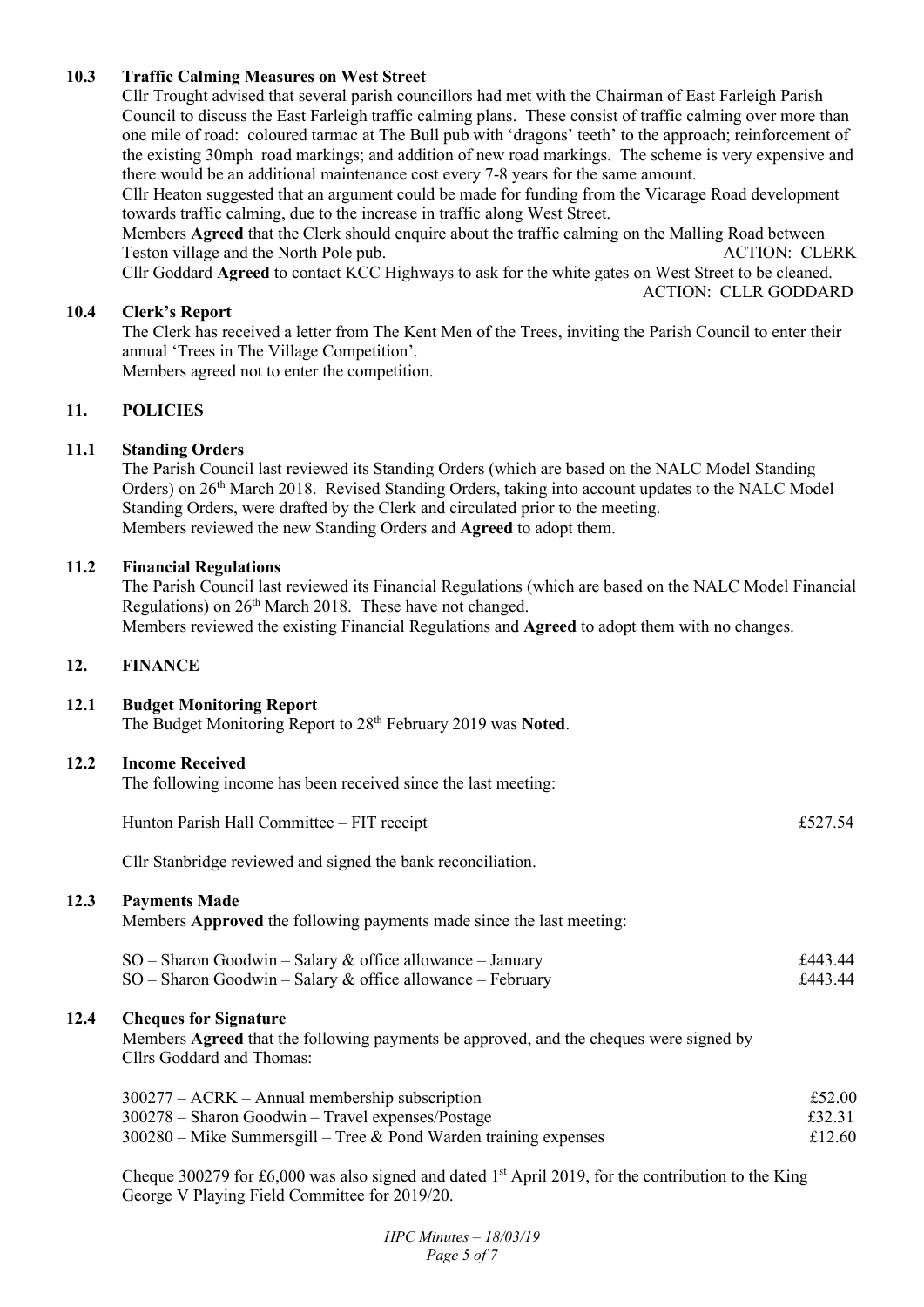## **10.3 Traffic Calming Measures on West Street**

Cllr Trought advised that several parish councillors had met with the Chairman of East Farleigh Parish Council to discuss the East Farleigh traffic calming plans. These consist of traffic calming over more than one mile of road: coloured tarmac at The Bull pub with 'dragons' teeth' to the approach; reinforcement of the existing 30mph road markings; and addition of new road markings. The scheme is very expensive and there would be an additional maintenance cost every 7-8 years for the same amount.

Cllr Heaton suggested that an argument could be made for funding from the Vicarage Road development towards traffic calming, due to the increase in traffic along West Street.

Members **Agreed** that the Clerk should enquire about the traffic calming on the Malling Road between Teston village and the North Pole pub. The Second Second Second Second Second Second Second Second Second Second Second Second Second Second Second Second Second Second Second Second Second Second Second Second Second Seco

Cllr Goddard **Agreed** to contact KCC Highways to ask for the white gates on West Street to be cleaned.

ACTION: CLLR GODDARD

## **10.4 Clerk's Report**

The Clerk has received a letter from The Kent Men of the Trees, inviting the Parish Council to enter their annual 'Trees in The Village Competition'.

Members agreed not to enter the competition.

## **11. POLICIES**

## **11.1 Standing Orders**

The Parish Council last reviewed its Standing Orders (which are based on the NALC Model Standing Orders) on 26th March 2018. Revised Standing Orders, taking into account updates to the NALC Model Standing Orders, were drafted by the Clerk and circulated prior to the meeting. Members reviewed the new Standing Orders and **Agreed** to adopt them.

#### **11.2 Financial Regulations**

The Parish Council last reviewed its Financial Regulations (which are based on the NALC Model Financial Regulations) on 26<sup>th</sup> March 2018. These have not changed. Members reviewed the existing Financial Regulations and **Agreed** to adopt them with no changes.

#### **12. FINANCE**

12.3

 $12.4$ 

**12.1 Budget Monitoring Report**  The Budget Monitoring Report to 28th February 2019 was **Noted**.

#### **12.2 Income Received**

The following income has been received since the last meeting:

| Hunton Parish Hall Committee - FIT receipt                                                                                                          | £527.54            |
|-----------------------------------------------------------------------------------------------------------------------------------------------------|--------------------|
| Cllr Stanbridge reviewed and signed the bank reconciliation.                                                                                        |                    |
| <b>Payments Made</b><br>Members Approved the following payments made since the last meeting:                                                        |                    |
| $SO -$ Sharon Goodwin – Salary & office allowance – January<br>$SO -$ Sharon Goodwin – Salary & office allowance – February                         | £443.44<br>£443.44 |
| <b>Cheques for Signature</b><br>Members Agreed that the following payments be approved, and the cheques were signed by<br>Cllrs Goddard and Thomas: |                    |

| $300277 - ACRK - Annual membership$ subscription                   | £52.00 |
|--------------------------------------------------------------------|--------|
| $300278$ – Sharon Goodwin – Travel expenses/Postage                | £32.31 |
| $300280$ – Mike Summersgill – Tree & Pond Warden training expenses | £12.60 |

Cheque 300279 for £6,000 was also signed and dated 1 st April 2019, for the contribution to the King George V Playing Field Committee for 2019/20.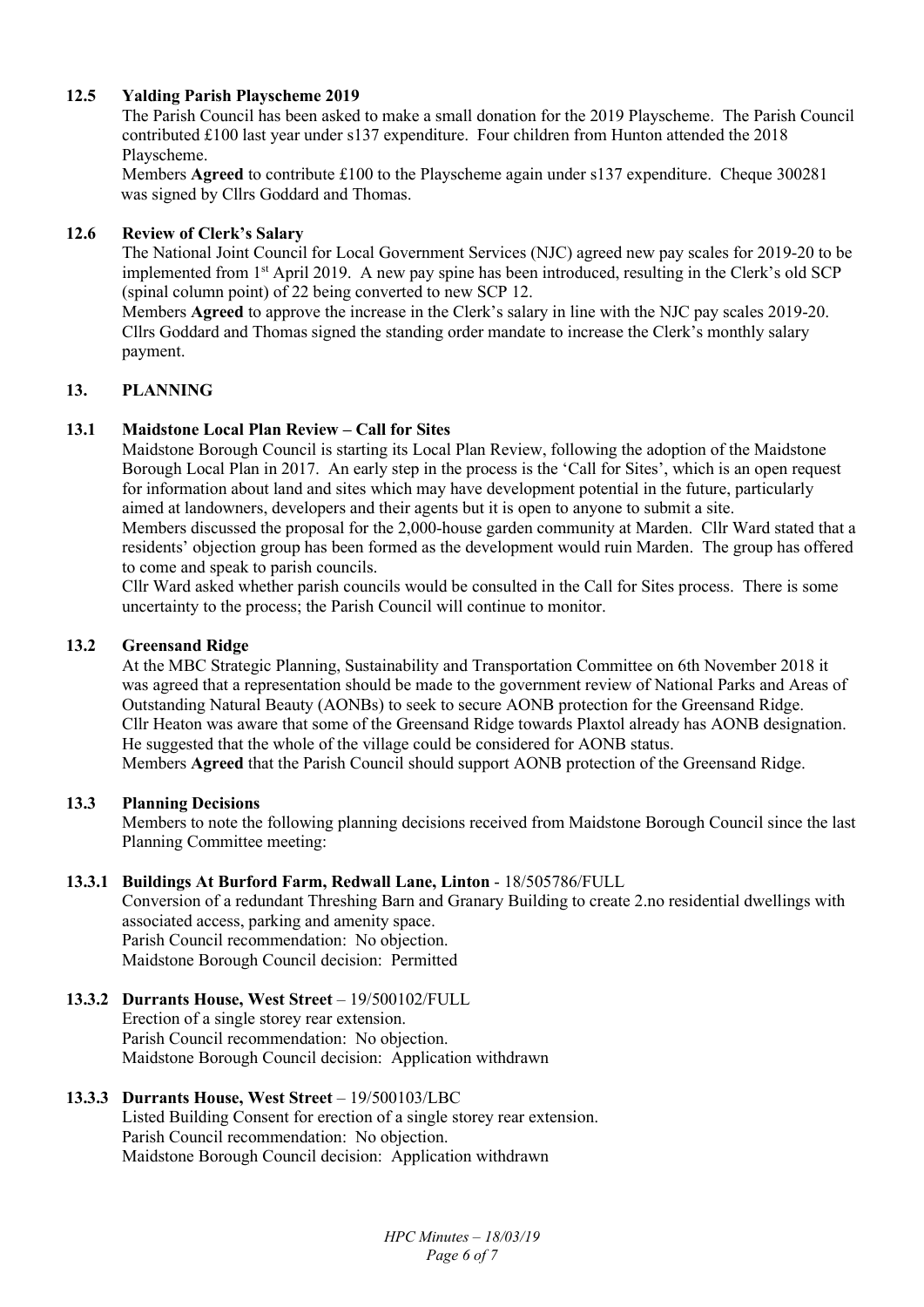## **12.5 Yalding Parish Playscheme 2019**

The Parish Council has been asked to make a small donation for the 2019 Playscheme. The Parish Council contributed £100 last year under s137 expenditure. Four children from Hunton attended the 2018 Playscheme.

 Members **Agreed** to contribute £100 to the Playscheme again under s137 expenditure. Cheque 300281 was signed by Cllrs Goddard and Thomas.

#### **12.6 Review of Clerk's Salary**

The National Joint Council for Local Government Services (NJC) agreed new pay scales for 2019-20 to be implemented from 1st April 2019. A new pay spine has been introduced, resulting in the Clerk's old SCP (spinal column point) of 22 being converted to new SCP 12.

Members **Agreed** to approve the increase in the Clerk's salary in line with the NJC pay scales 2019-20. Cllrs Goddard and Thomas signed the standing order mandate to increase the Clerk's monthly salary payment.

## **13. PLANNING**

## **13.1 Maidstone Local Plan Review – Call for Sites**

Maidstone Borough Council is starting its Local Plan Review, following the adoption of the Maidstone Borough Local Plan in 2017. An early step in the process is the 'Call for Sites', which is an open request for information about land and sites which may have development potential in the future, particularly aimed at landowners, developers and their agents but it is open to anyone to submit a site.

Members discussed the proposal for the 2,000-house garden community at Marden. Cllr Ward stated that a residents' objection group has been formed as the development would ruin Marden. The group has offered to come and speak to parish councils.

Cllr Ward asked whether parish councils would be consulted in the Call for Sites process. There is some uncertainty to the process; the Parish Council will continue to monitor.

#### **13.2 Greensand Ridge**

At the MBC Strategic Planning, Sustainability and Transportation Committee on 6th November 2018 it was agreed that a representation should be made to the government review of National Parks and Areas of Outstanding Natural Beauty (AONBs) to seek to secure AONB protection for the Greensand Ridge. Cllr Heaton was aware that some of the Greensand Ridge towards Plaxtol already has AONB designation. He suggested that the whole of the village could be considered for AONB status. Members **Agreed** that the Parish Council should support AONB protection of the Greensand Ridge.

#### **13.3 Planning Decisions**

Members to note the following planning decisions received from Maidstone Borough Council since the last Planning Committee meeting:

#### **13.3.1 Buildings At Burford Farm, Redwall Lane, Linton** - 18/505786/FULL

Conversion of a redundant Threshing Barn and Granary Building to create 2.no residential dwellings with associated access, parking and amenity space. Parish Council recommendation: No objection. Maidstone Borough Council decision: Permitted

#### **13.3.2 Durrants House, West Street** – 19/500102/FULL

Erection of a single storey rear extension. Parish Council recommendation: No objection. Maidstone Borough Council decision: Application withdrawn

## **13.3.3 Durrants House, West Street** – 19/500103/LBC

Listed Building Consent for erection of a single storey rear extension. Parish Council recommendation: No objection. Maidstone Borough Council decision: Application withdrawn